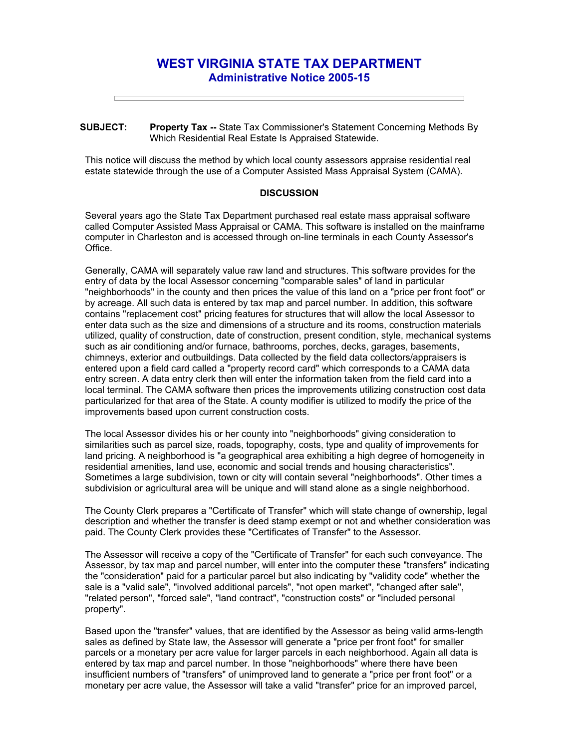## **WEST VIRGINIA STATE TAX DEPARTMENT Administrative Notice 2005-15**

**SUBJECT: Property Tax --** State Tax Commissioner's Statement Concerning Methods By Which Residential Real Estate Is Appraised Statewide.

This notice will discuss the method by which local county assessors appraise residential real estate statewide through the use of a Computer Assisted Mass Appraisal System (CAMA).

## **DISCUSSION**

Several years ago the State Tax Department purchased real estate mass appraisal software called Computer Assisted Mass Appraisal or CAMA. This software is installed on the mainframe computer in Charleston and is accessed through on-line terminals in each County Assessor's Office.

Generally, CAMA will separately value raw land and structures. This software provides for the entry of data by the local Assessor concerning "comparable sales" of land in particular "neighborhoods" in the county and then prices the value of this land on a "price per front foot" or by acreage. All such data is entered by tax map and parcel number. In addition, this software contains "replacement cost" pricing features for structures that will allow the local Assessor to enter data such as the size and dimensions of a structure and its rooms, construction materials utilized, quality of construction, date of construction, present condition, style, mechanical systems such as air conditioning and/or furnace, bathrooms, porches, decks, garages, basements, chimneys, exterior and outbuildings. Data collected by the field data collectors/appraisers is entered upon a field card called a "property record card" which corresponds to a CAMA data entry screen. A data entry clerk then will enter the information taken from the field card into a local terminal. The CAMA software then prices the improvements utilizing construction cost data particularized for that area of the State. A county modifier is utilized to modify the price of the improvements based upon current construction costs.

The local Assessor divides his or her county into "neighborhoods" giving consideration to similarities such as parcel size, roads, topography, costs, type and quality of improvements for land pricing. A neighborhood is "a geographical area exhibiting a high degree of homogeneity in residential amenities, land use, economic and social trends and housing characteristics". Sometimes a large subdivision, town or city will contain several "neighborhoods". Other times a subdivision or agricultural area will be unique and will stand alone as a single neighborhood.

The County Clerk prepares a "Certificate of Transfer" which will state change of ownership, legal description and whether the transfer is deed stamp exempt or not and whether consideration was paid. The County Clerk provides these "Certificates of Transfer" to the Assessor.

The Assessor will receive a copy of the "Certificate of Transfer" for each such conveyance. The Assessor, by tax map and parcel number, will enter into the computer these "transfers" indicating the "consideration" paid for a particular parcel but also indicating by "validity code" whether the sale is a "valid sale", "involved additional parcels", "not open market", "changed after sale", "related person", "forced sale", "land contract", "construction costs" or "included personal property".

Based upon the "transfer" values, that are identified by the Assessor as being valid arms-length sales as defined by State law, the Assessor will generate a "price per front foot" for smaller parcels or a monetary per acre value for larger parcels in each neighborhood. Again all data is entered by tax map and parcel number. In those "neighborhoods" where there have been insufficient numbers of "transfers" of unimproved land to generate a "price per front foot" or a monetary per acre value, the Assessor will take a valid "transfer" price for an improved parcel,